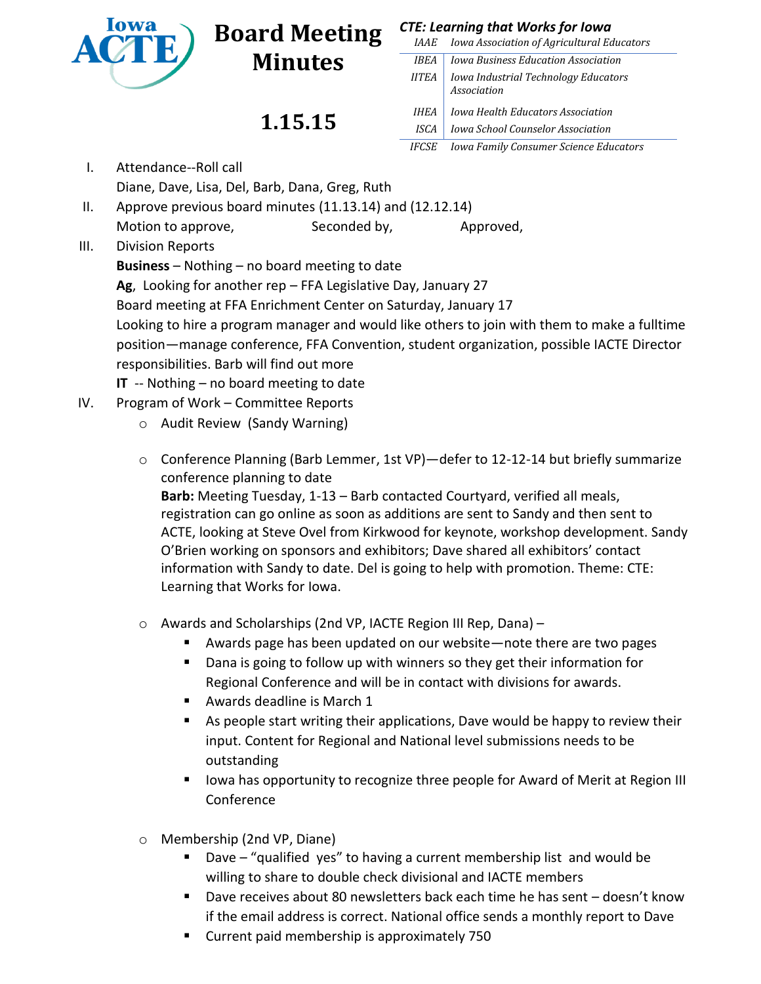

## **Board Meeting** *CTE: Learning that Works for Iowa* **Minutes**

**1.15.15**

| <i>IAAE</i>  | <b>Iowa Association of Agricultural Educators</b>   |
|--------------|-----------------------------------------------------|
| <b>IBEA</b>  | Iowa Business Education Association                 |
| <b>IITEA</b> | Iowa Industrial Technology Educators<br>Association |
| IHEA         | Iowa Health Educators Association                   |
| ISCA         | <b>Iowa School Counselor Association</b>            |
| <i>IFCSE</i> | <b>Iowa Family Consumer Science Educators</b>       |

- I. Attendance--Roll call Diane, Dave, Lisa, Del, Barb, Dana, Greg, Ruth
- II. Approve previous board minutes (11.13.14) and (12.12.14) Motion to approve, Seconded by, Approved,
- III. Division Reports

**Business** – Nothing – no board meeting to date

**Ag**, Looking for another rep – FFA Legislative Day, January 27

Board meeting at FFA Enrichment Center on Saturday, January 17

Looking to hire a program manager and would like others to join with them to make a fulltime position—manage conference, FFA Convention, student organization, possible IACTE Director responsibilities. Barb will find out more

**IT** -- Nothing – no board meeting to date

- IV. Program of Work Committee Reports
	- o Audit Review (Sandy Warning)
	- o Conference Planning (Barb Lemmer, 1st VP)—defer to 12-12-14 but briefly summarize conference planning to date **Barb:** Meeting Tuesday, 1-13 – Barb contacted Courtyard, verified all meals, registration can go online as soon as additions are sent to Sandy and then sent to ACTE, looking at Steve Ovel from Kirkwood for keynote, workshop development. Sandy O'Brien working on sponsors and exhibitors; Dave shared all exhibitors' contact information with Sandy to date. Del is going to help with promotion. Theme: CTE:

Learning that Works for Iowa.

- o Awards and Scholarships (2nd VP, IACTE Region III Rep, Dana)
	- Awards page has been updated on our website—note there are two pages
	- Dana is going to follow up with winners so they get their information for Regional Conference and will be in contact with divisions for awards.
	- Awards deadline is March 1
	- As people start writing their applications, Dave would be happy to review their input. Content for Regional and National level submissions needs to be outstanding
	- Iowa has opportunity to recognize three people for Award of Merit at Region III Conference
- o Membership (2nd VP, Diane)
	- Dave "qualified yes" to having a current membership list and would be willing to share to double check divisional and IACTE members
	- Dave receives about 80 newsletters back each time he has sent doesn't know if the email address is correct. National office sends a monthly report to Dave
	- **Current paid membership is approximately 750**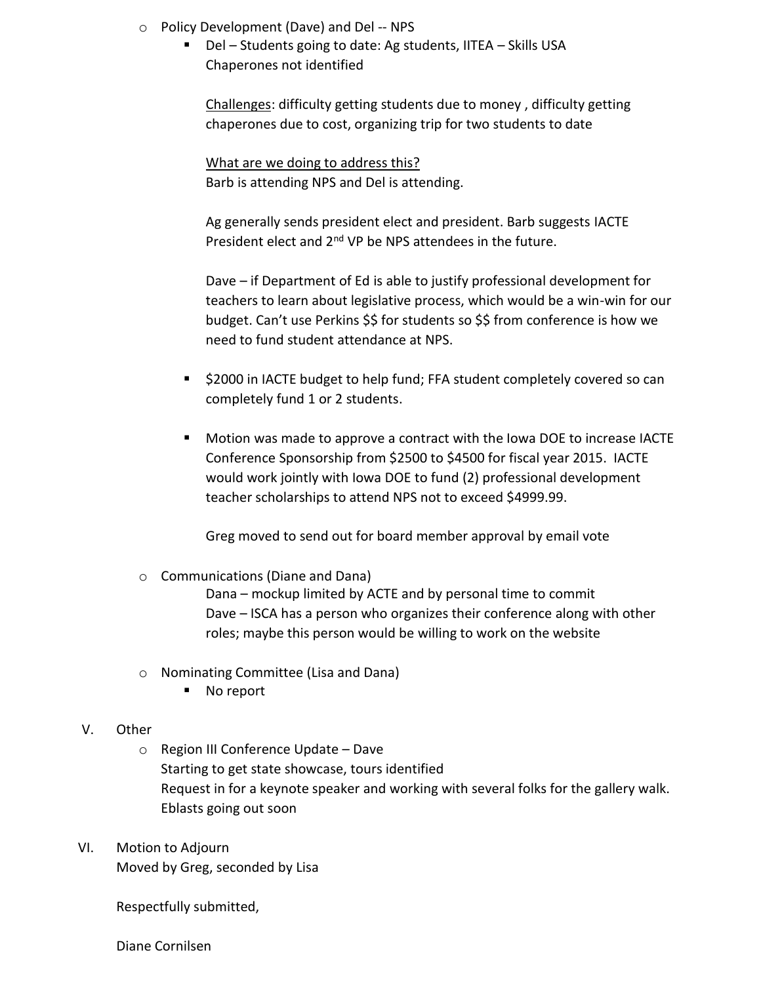- o Policy Development (Dave) and Del -- NPS
	- Del Students going to date: Ag students, IITEA Skills USA Chaperones not identified

Challenges: difficulty getting students due to money , difficulty getting chaperones due to cost, organizing trip for two students to date

What are we doing to address this? Barb is attending NPS and Del is attending.

Ag generally sends president elect and president. Barb suggests IACTE President elect and 2<sup>nd</sup> VP be NPS attendees in the future.

Dave – if Department of Ed is able to justify professional development for teachers to learn about legislative process, which would be a win-win for our budget. Can't use Perkins \$\$ for students so \$\$ from conference is how we need to fund student attendance at NPS.

- \$2000 in IACTE budget to help fund; FFA student completely covered so can completely fund 1 or 2 students.
- Motion was made to approve a contract with the Iowa DOE to increase IACTE Conference Sponsorship from \$2500 to \$4500 for fiscal year 2015. IACTE would work jointly with Iowa DOE to fund (2) professional development teacher scholarships to attend NPS not to exceed \$4999.99.

Greg moved to send out for board member approval by email vote

o Communications (Diane and Dana)

Dana – mockup limited by ACTE and by personal time to commit Dave – ISCA has a person who organizes their conference along with other roles; maybe this person would be willing to work on the website

- o Nominating Committee (Lisa and Dana)
	- No report

## V. Other

- o Region III Conference Update Dave Starting to get state showcase, tours identified Request in for a keynote speaker and working with several folks for the gallery walk. Eblasts going out soon
- VI. Motion to Adjourn

Moved by Greg, seconded by Lisa

Respectfully submitted,

Diane Cornilsen